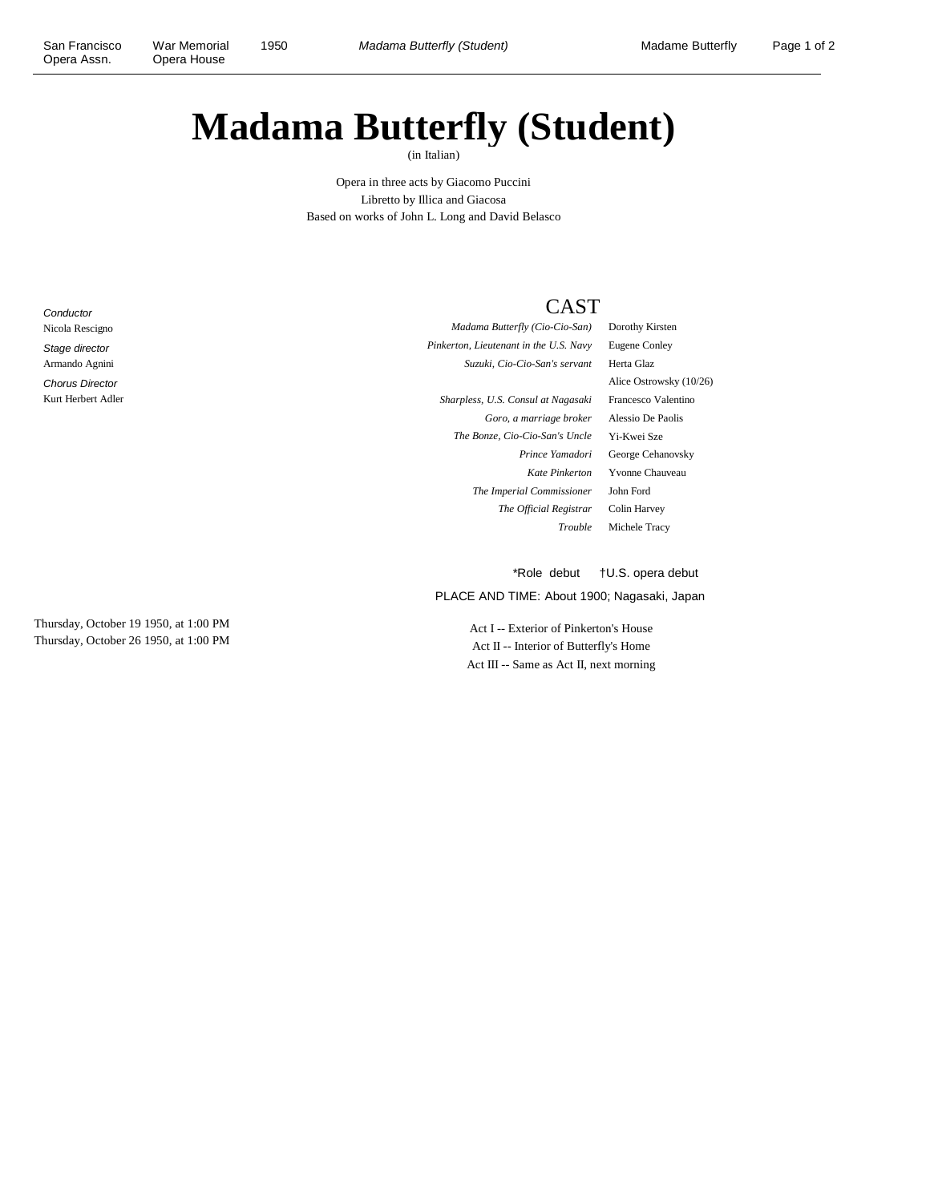## **Madama Butterfly (Student)**

(in Italian)

Opera in three acts by Giacomo Puccini Libretto by Illica and Giacosa Based on works of John L. Long and David Belasco

**Conductor** Nicola Rescigno Stage director Armando Agnini Chorus Director Kurt Herbert Adler

Thursday, October 19 1950, at 1:00 PM Thursday, October 26 1950, at 1:00 PM

## CAST

*Madama Butterfly (Cio-Cio-San)* Dorothy Kirsten *Pinkerton, Lieutenant in the U.S. Navy* Eugene Conley *Suzuki, Cio-Cio-San's servant* Herta Glaz *Sharpless, U.S. Consul at Nagasaki* Francesco Valentino *Goro, a marriage broker* Alessio De Paolis *The Bonze, Cio-Cio-San's Uncle* Yi-Kwei Sze

Alice Ostrowsky (10/26) *Prince Yamadori* George Cehanovsky *Kate Pinkerton* Yvonne Chauveau *The Imperial Commissioner* John Ford *The Official Registrar* Colin Harvey *Trouble* Michele Tracy

\*Role debut †U.S. opera debut

PLACE AND TIME: About 1900; Nagasaki, Japan

Act I -- Exterior of Pinkerton's House Act II -- Interior of Butterfly's Home Act III -- Same as Act II, next morning